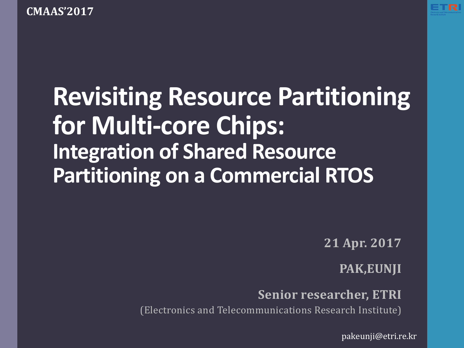**CMAAS'2017** 



# **Revisiting Resource Partitioning** for Multi-core Chips: **Integration of Shared Resource Partitioning on a Commercial RTOS**

**21 Apr. 2017**

**PAK,EUNJI** 

**Senior researcher, ETRI** 

(Electronics and Telecommunications Research Institute)

pakeunji@etri.re.kr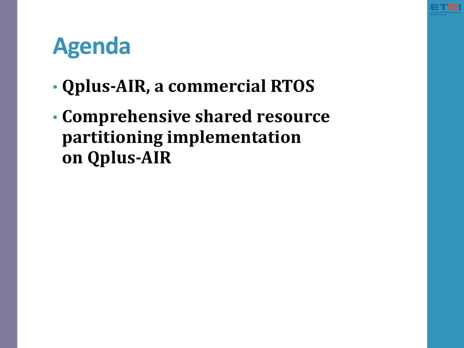# **Agenda**

- **Qplus-AIR, a commercial RTOS**
- **Comprehensive shared resource partitioning implementation on Qplus-AIR**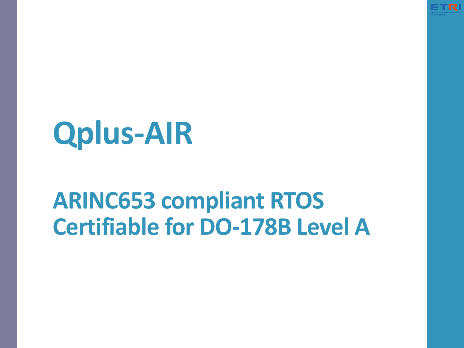

# **Qplus-AIR**

## **ARINC653 compliant RTOS Certifiable for DO-178B Level A**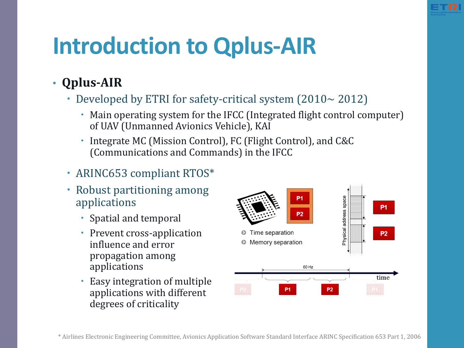## **Introduction to Qplus-AIR**

### • **Qplus-AIR**

- Developed by ETRI for safety-critical system  $(2010 \sim 2012)$ 
	- Main operating system for the IFCC (Integrated flight control computer) of UAV (Unmanned Avionics Vehicle), KAI
	- Integrate MC (Mission Control), FC (Flight Control), and C&C (Communications and Commands) in the IFCC

#### • ARINC653 compliant RTOS\*

- Robust partitioning among applications
	- Spatial and temporal
	- Prevent cross-application influence and error propagation among applications
	- Easy integration of multiple applications with different degrees of criticality

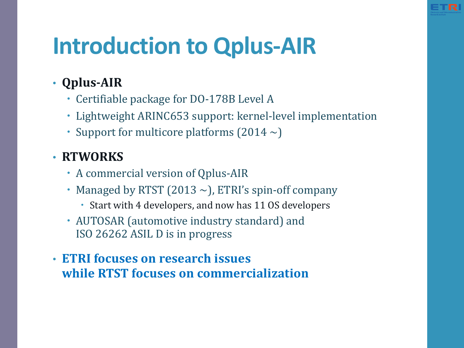## **Introduction to Qplus-AIR**

- **Qplus-AIR**
	- Certifiable package for DO-178B Level A
	- Lightweight ARINC653 support: kernel-level implementation
	- Support for multicore platforms  $(2014 \sim)$

### • **RTWORKS**

- A commercial version of Qplus-AIR
- Managed by RTST (2013  $\sim$ ), ETRI's spin-off company
	- Start with 4 developers, and now has 11 OS developers
- AUTOSAR (automotive industry standard) and ISO 26262 ASIL D is in progress
- **ETRI focuses on research issues while RTST focuses on commercialization**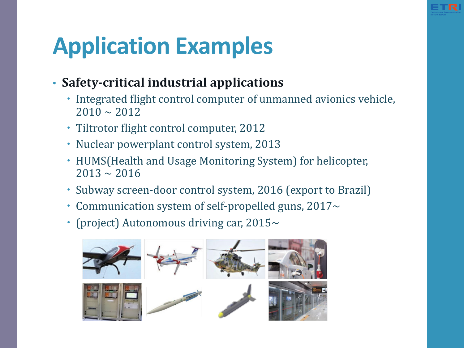# **Application Examples**

- **Safety-critical industrial applications**
	- Integrated flight control computer of unmanned avionics vehicle,  $2010 \sim 2012$
	- Tiltrotor flight control computer, 2012
	- Nuclear powerplant control system, 2013
	- HUMS (Health and Usage Monitoring System) for helicopter,  $2013 \approx 2016$
	- Subway screen-door control system, 2016 (export to Brazil)
	- Communication system of self-propelled guns,  $2017~$
	- (project) Autonomous driving car,  $2015~\sim$

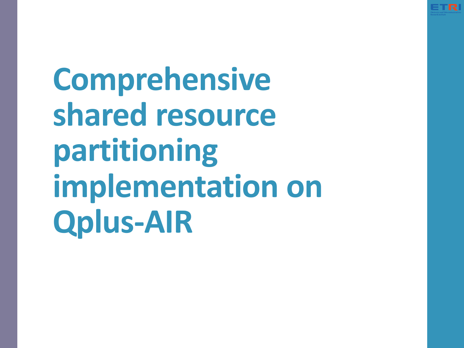

**Comprehensive** shared resource **partitioning implementation on Qplus-AIR**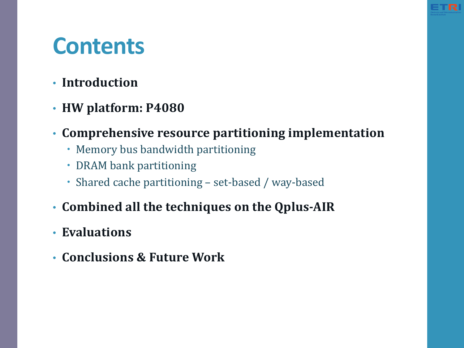### **Contents**

- **Introduction**
- **HW platform: P4080**
- Comprehensive resource partitioning implementation
	- Memory bus bandwidth partitioning
	- DRAM bank partitioning
	- Shared cache partitioning set-based / way-based
- **Combined all the techniques on the Qplus-AIR**
- **Evaluations**
- **Conclusions & Future Work**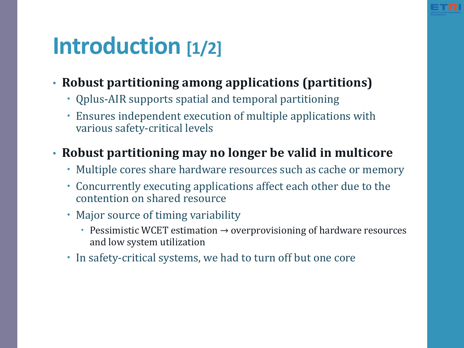

### **Introduction** [1/2]

- Robust partitioning among applications (partitions)
	- Qplus-AIR supports spatial and temporal partitioning
	- Ensures independent execution of multiple applications with various safety-critical levels

### • Robust partitioning may no longer be valid in multicore

- Multiple cores share hardware resources such as cache or memory
- Concurrently executing applications affect each other due to the contention on shared resource
- Major source of timing variability
	- Pessimistic WCET estimation  $\rightarrow$  overprovisioning of hardware resources and low system utilization
- In safety-critical systems, we had to turn off but one core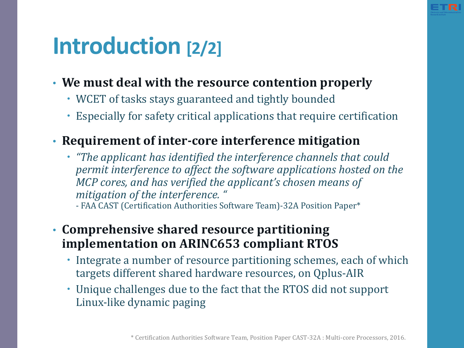

### **Introduction** [2/2]

- We must deal with the resource contention properly
	- WCET of tasks stays guaranteed and tightly bounded
	- Especially for safety critical applications that require certification
- **Requirement of inter-core interference mitigation**
	- *"The applicant has identified the interference channels that could permit interference to affect the software applications hosted on the MCP* cores, and has verified the applicant's chosen means of *mitigation of the interference.* "

- FAA CAST (Certification Authorities Software Team)-32A Position Paper\*

#### • Comprehensive shared resource partitioning **implementation on ARINC653 compliant RTOS**

- Integrate a number of resource partitioning schemes, each of which targets different shared hardware resources, on Qplus-AIR
- Unique challenges due to the fact that the RTOS did not support Linux-like dynamic paging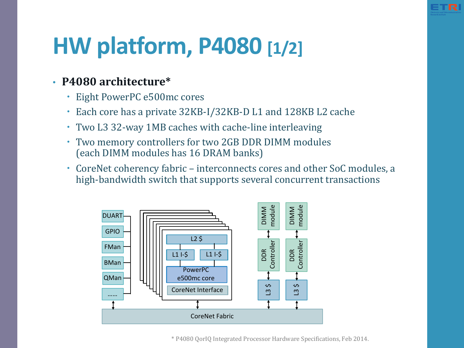# **HW platform, P4080 [1/2]**

#### • **P4080 architecture\***

- Eight PowerPC e500mc cores
- Each core has a private 32KB-I/32KB-D L1 and 128KB L2 cache
- Two L3 32-way 1MB caches with cache-line interleaving
- Two memory controllers for two 2GB DDR DIMM modules (each DIMM modules has 16 DRAM banks)
- CoreNet coherency fabric interconnects cores and other SoC modules, a high-bandwidth switch that supports several concurrent transactions



\* P4080 QorIQ Integrated Processor Hardware Specifications, Feb 2014.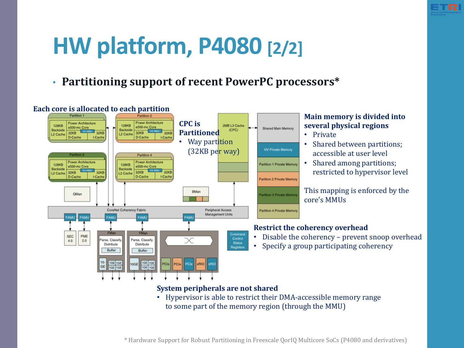

## **HW platform, P4080 [2/2]**

into several physical regions:

#### **Partitioning support of recent PowerPC processors\***



 $\,^*$  Hardware Support for Robust Partitioning in Freescale QorIQ Multicore SoCs (P4080 and derivatives)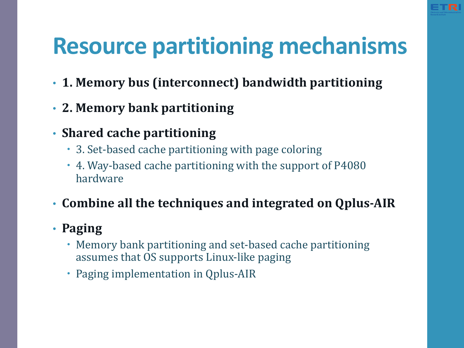

# **Resource partitioning mechanisms**

- 1. Memory bus (interconnect) bandwidth partitioning
- **2. Memory bank partitioning**
- Shared cache partitioning
	- 3. Set-based cache partitioning with page coloring
	- 4. Way-based cache partitioning with the support of P4080 hardware
- Combine all the techniques and integrated on Qplus-AIR

#### • **Paging**

- Memory bank partitioning and set-based cache partitioning assumes that OS supports Linux-like paging
- Paging implementation in Qplus-AIR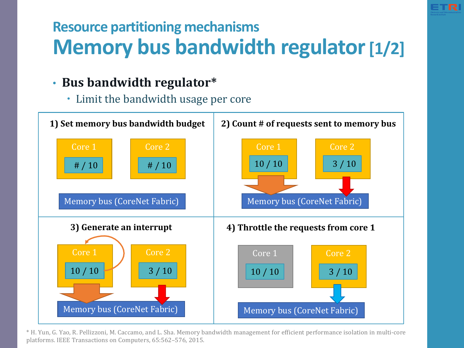### **Resource partitioning mechanisms Memory bus bandwidth regulator [1/2]**

#### • Bus bandwidth regulator\*

• Limit the bandwidth usage per core



\* H. Yun, G. Yao, R. Pellizzoni, M. Caccamo, and L. Sha. Memory bandwidth management for efficient performance isolation in multi-core platforms. IEEE Transactions on Computers, 65:562-576, 2015.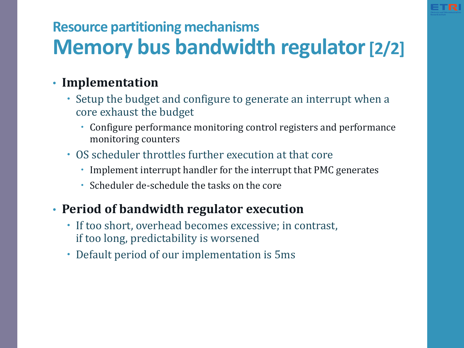

### **Resource partitioning mechanisms Memory bus bandwidth regulator [2/2]**

#### • **Implementation**

- Setup the budget and configure to generate an interrupt when a core exhaust the budget
	- Configure performance monitoring control registers and performance monitoring counters
- OS scheduler throttles further execution at that core
	- Implement interrupt handler for the interrupt that PMC generates
	- Scheduler de-schedule the tasks on the core

#### • **Period of bandwidth regulator execution**

- If too short, overhead becomes excessive; in contrast, if too long, predictability is worsened
- Default period of our implementation is 5ms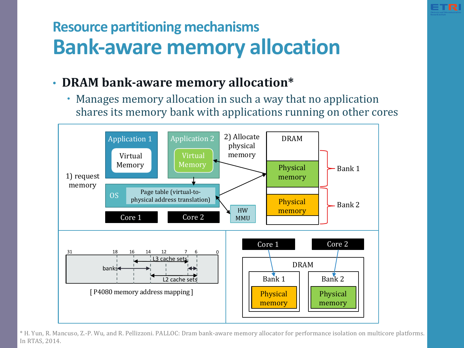

### **Resource partitioning mechanisms Bank-aware memory allocation**

#### • **DRAM** bank-aware memory allocation\*

• Manages memory allocation in such a way that no application shares its memory bank with applications running on other cores



\* H. Yun, R. Mancuso, Z.-P. Wu, and R. Pellizzoni. PALLOC: Dram bank-aware memory allocator for performance isolation on multicore platforms. In RTAS, 2014.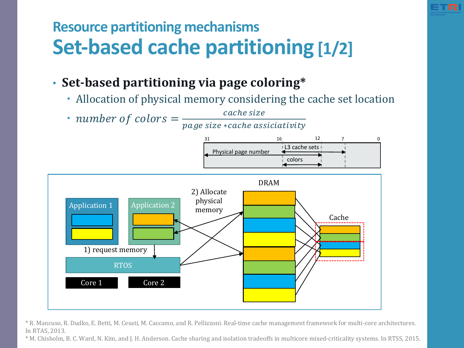

### **Resource partitioning mechanisms Set-based cache partitioning** [1/2]

#### • Set-based partitioning via page coloring\*

- Allocation of physical memory considering the cache set location
- number of colors  $=\frac{cache \, size}{\sqrt{256}}$

page size ∗cache assiciativity





\* R. Mancuso, R. Dudko, E. Betti, M. Cesati, M. Caccamo, and R. Pellizzoni. Real-time cache management framework for multi-core architectures. In RTAS, 2013.

\* M. Chisholm, B. C. Ward, N. Kim, and J. H. Anderson. Cache sharing and isolation tradeoffs in multicore mixed-criticality systems. In RTSS, 2015.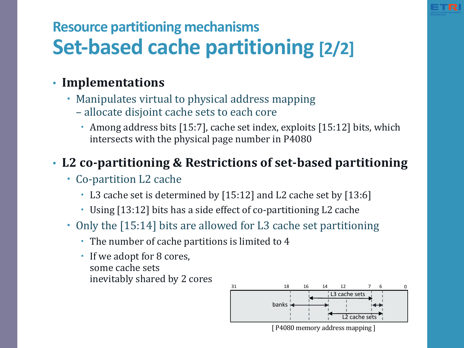

### **Resource partitioning mechanisms Set-based cache partitioning [2/2]**

#### • **Implementations**

- Manipulates virtual to physical address mapping
	- allocate disjoint cache sets to each core
		- Among address bits  $[15:7]$ , cache set index, exploits  $[15:12]$  bits, which intersects with the physical page number in P4080

### • L2 co-partitioning & Restrictions of set-based partitioning

- Co-partition L2 cache
	- L3 cache set is determined by [15:12] and L2 cache set by [13:6]
	- Using [13:12] bits has a side effect of co-partitioning L2 cache
- Only the [15:14] bits are allowed for L3 cache set partitioning
	- The number of cache partitions is limited to 4
	- If we adopt for 8 cores, some cache sets inevitably shared by 2 cores

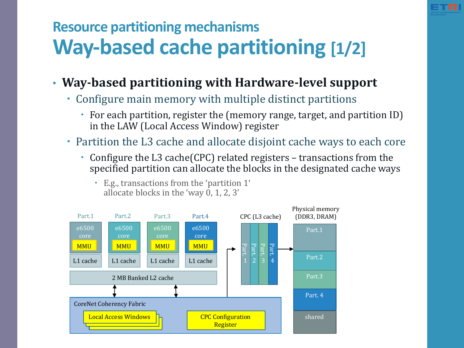

### **Resource partitioning mechanisms Way-based cache partitioning [1/2]**

- **Way-based partitioning with Hardware-level support**
	- Configure main memory with multiple distinct partitions
		- For each partition, register the (memory range, target, and partition ID) in the LAW (Local Access Window) register
	- Partition the L3 cache and allocate disjoint cache ways to each core
		- Configure the L3 cache(CPC) related registers transactions from the specified partition can allocate the blocks in the designated cache ways



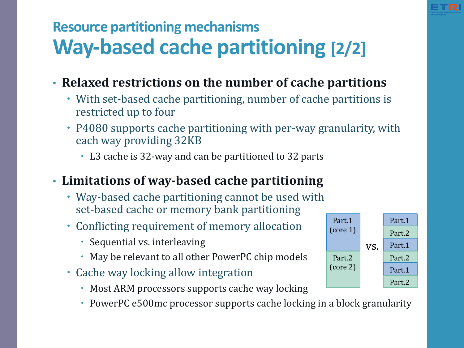

### **Resource partitioning mechanisms Way-based cache partitioning [2/2]**

- **Relaxed restrictions on the number of cache partitions**
	- With set-based cache partitioning, number of cache partitions is restricted up to four
	- P4080 supports cache partitioning with per-way granularity, with each way providing 32KB
		- L3 cache is 32-way and can be partitioned to 32 parts

#### • Limitations of way-based cache partitioning

- Way-based cache partitioning cannot be used with set-based cache or memory bank partitioning
- Conflicting requirement of memory allocation
	- Sequential vs. interleaving
	- May be relevant to all other PowerPC chip models
- Cache way locking allow integration
	- Most ARM processors supports cache way locking
	- PowerPC e500mc processor supports cache locking in a block granularity

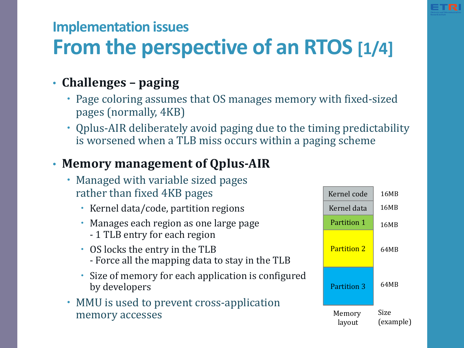

### **Implementation issues**

### **From the perspective of an RTOS [1/4]**

### • **Challenges** – paging

- Page coloring assumes that OS manages memory with fixed-sized pages (normally, 4KB)
- Qplus-AIR deliberately avoid paging due to the timing predictability is worsened when a TLB miss occurs within a paging scheme

### • **Memory management of Qplus-AIR**

- Managed with variable sized pages rather than fixed 4KB pages
	- Kernel data/code, partition regions
	- Manages each region as one large page - 1 TLB entry for each region
	- OS locks the entry in the TLB - Force all the mapping data to stay in the TLB
	- Size of memory for each application is configured by developers
- MMU is used to prevent cross-application memory accesses

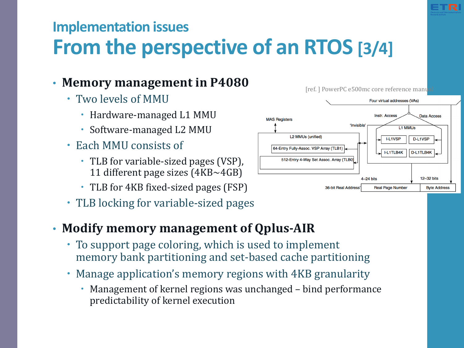### **Implementation issues From the perspective of an RTOS [3/4]**

#### • Memory management in P4080

- Two levels of MMU
	- Hardware-managed L1 MMU
	- Software-managed L2 MMU
- Each MMU consists of
	- TLB for variable-sized pages (VSP), 11 different page sizes  $(4KB \sim 4GB)$
	- TLB for 4KB fixed-sized pages (FSP)
- TLB locking for variable-sized pages

#### • **Modify memory management of Qplus-AIR**

- To support page coloring, which is used to implement memory bank partitioning and set-based cache partitioning
- Manage application's memory regions with 4KB granularity
	- Management of kernel regions was unchanged bind performance predictability of kernel execution



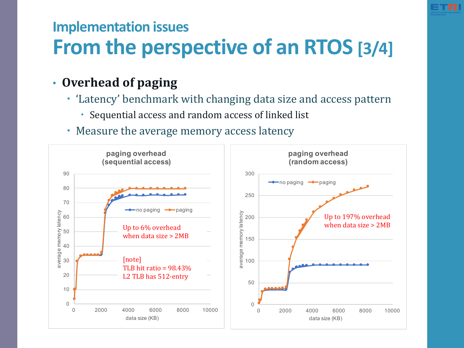### **Implementation issues From the perspective of an RTOS [3/4]**

#### • Overhead of paging

- 'Latency' benchmark with changing data size and access pattern
	- Sequential access and random access of linked list
- Measure the average memory access latency

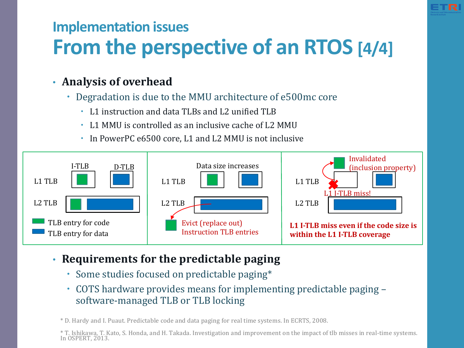### **Implementation issues From the perspective of an RTOS [4/4]**

#### • Analysis of overhead

- Degradation is due to the MMU architecture of e500mc core
	- L1 instruction and data TLBs and L2 unified TLB
	- L1 MMU is controlled as an inclusive cache of L2 MMU
	- In PowerPC e6500 core, L1 and L2 MMU is not inclusive



- Requirements for the predictable paging
	- Some studies focused on predictable paging\*
	- COTS hardware provides means for implementing predictable paging software-managed TLB or TLB locking

\* D. Hardy and I. Puaut. Predictable code and data paging for real time systems. In ECRTS, 2008.

\* T. Ishikawa, T. Kato, S. Honda, and H. Takada. Investigation and improvement on the impact of tlb misses in real-time systems.<br>In OSPERT, 2013.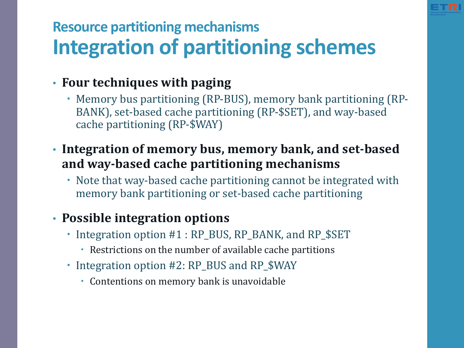

### **Resource partitioning mechanisms Integration of partitioning schemes**

#### **• Four techniques with paging**

- Memory bus partitioning (RP-BUS), memory bank partitioning (RP-BANK), set-based cache partitioning (RP-\$SET), and way-based cache partitioning (RP-\$WAY)
- Integration of memory bus, memory bank, and set-based and way-based cache partitioning mechanisms
	- Note that way-based cache partitioning cannot be integrated with memory bank partitioning or set-based cache partitioning

### **• Possible integration options**

- Integration option #1 : RP\_BUS, RP\_BANK, and RP\_\$SET
	- Restrictions on the number of available cache partitions
- Integration option #2: RP\_BUS and RP\_\$WAY
	- Contentions on memory bank is unavoidable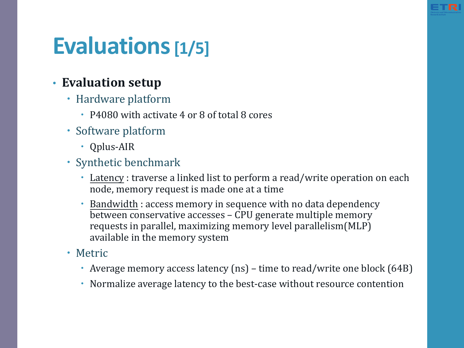# **Evaluations[1/5]**

#### • **Evaluation setup**

- Hardware platform
	- P4080 with activate 4 or 8 of total 8 cores
- Software platform
	- Qplus-AIR
- Synthetic benchmark
	- Latency : traverse a linked list to perform a read/write operation on each node, memory request is made one at a time
	- Bandwidth : access memory in sequence with no data dependency between conservative accesses – CPU generate multiple memory requests in parallel, maximizing memory level parallelism(MLP) available in the memory system
- Metric
	- Average memory access latency  $(ns)$  time to read/write one block  $(64B)$
	- Normalize average latency to the best-case without resource contention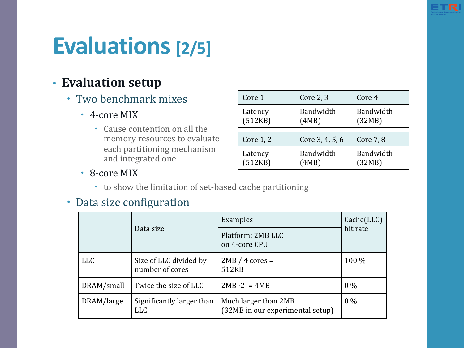

# **Evaluations** [2/5]

#### • **Evaluation setup**

- Two benchmark mixes
	- 4-core MIX
		- Cause contention on all the memory resources to evaluate each partitioning mechanism and integrated one

| Core 1    | Core 2, 3       | Core 4    |  |
|-----------|-----------------|-----------|--|
| Latency   | Bandwidth       | Bandwidth |  |
| (512KB)   | (4MB)           | (32MB)    |  |
| Core 1, 2 | Core 3, 4, 5, 6 | Core 7, 8 |  |
| Latency   | Bandwidth       | Bandwidth |  |
| (512KB)   | (4MB)           | (32MB)    |  |

- 8-core MIX
	- to show the limitation of set-based cache partitioning

#### • Data size configuration

|            |                                           | Examples                                                 | $Cache(\text{LLC})$<br>hit rate |
|------------|-------------------------------------------|----------------------------------------------------------|---------------------------------|
|            | Data size                                 | Platform: 2MB LLC<br>on 4-core CPU                       |                                 |
| <b>LLC</b> | Size of LLC divided by<br>number of cores | $2MB / 4 cores =$<br>512KB                               | 100 %                           |
| DRAM/small | Twice the size of LLC                     | $2MB \cdot 2 = 4MB$                                      | $0\%$                           |
| DRAM/large | Significantly larger than<br><b>LLC</b>   | Much larger than 2MB<br>(32MB in our experimental setup) | $0\%$                           |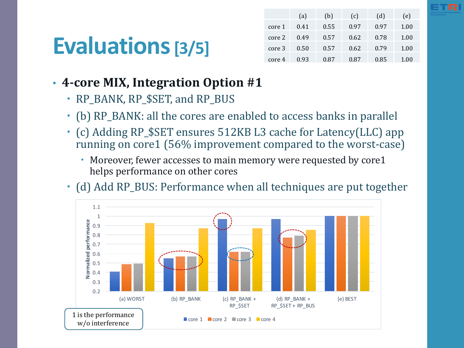# **Evaluations[3/5]**

|        | (a)  | (b)  | (c)  | (d)  | (e)  |
|--------|------|------|------|------|------|
| core 1 | 0.41 | 0.55 | በ 97 | 0.97 | 1.00 |
| core 2 | 0.49 | 0.57 | 0.62 | 0.78 | 1.00 |
| core 3 | 0.50 | 0.57 | 0.62 | 0.79 | 1.00 |
| core 4 | 0.93 | 0.87 | 0.87 | 0.85 | 1.00 |

#### • 4-core MIX, Integration Option #1

- RP\_BANK, RP\_\$SET, and RP\_BUS
- (b) RP\_BANK: all the cores are enabled to access banks in parallel
- (c) Adding RP\_\$SET ensures 512KB L3 cache for Latency(LLC) app running on core1 (56% improvement compared to the worst-case)
	- Moreover, fewer accesses to main memory were requested by core1 helps performance on other cores
- (d) Add RP BUS: Performance when all techniques are put together

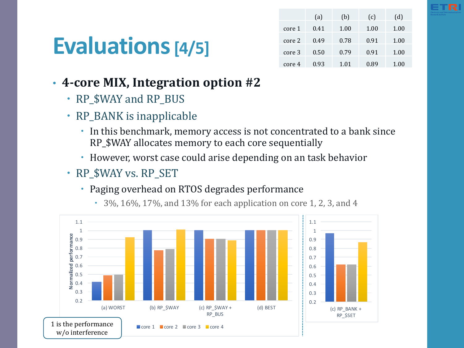# **Evaluations[4/5]**

|        | (a)  | (b)  | (c)  | (d)  |
|--------|------|------|------|------|
| core 1 | 0.41 | 1.00 | 1.00 | 1.00 |
| core 2 | 0.49 | 0.78 | 0.91 | 1.00 |
| core 3 | 0.50 | 0.79 | 0.91 | 1.00 |
| core 4 | 0.93 | 1.01 | 0.89 | 1.00 |

- 4-core MIX, Integration option #2
	- RP \$WAY and RP BUS
	- $\cdot$  RP\_BANK is inapplicable
		- In this benchmark, memory access is not concentrated to a bank since RP\_\$WAY allocates memory to each core sequentially
		- However, worst case could arise depending on an task behavior
	- RP \$WAY vs. RP SET
		- Paging overhead on RTOS degrades performance



 $\cdot$  3%, 16%, 17%, and 13% for each application on core 1, 2, 3, and 4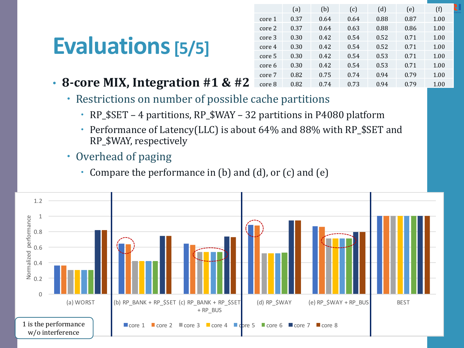# **Evaluations[5/5]**

|        | (a)  | (b)  | (c)  | (d)  | (e)  | (f)  |
|--------|------|------|------|------|------|------|
| core 1 | 0.37 | 0.64 | 0.64 | 0.88 | 0.87 | 1.00 |
| core 2 | 0.37 | 0.64 | 0.63 | 0.88 | 0.86 | 1.00 |
| core 3 | 0.30 | 0.42 | 0.54 | 0.52 | 0.71 | 1.00 |
| core 4 | 0.30 | 0.42 | 0.54 | 0.52 | 0.71 | 1.00 |
| core 5 | 0.30 | 0.42 | 0.54 | 0.53 | 0.71 | 1.00 |
| core 6 | 0.30 | 0.42 | 0.54 | 0.53 | 0.71 | 1.00 |
| core 7 | 0.82 | 0.75 | 0.74 | 0.94 | 0.79 | 1.00 |
| core 8 | 0.82 | 0.74 | 0.73 | 0.94 | 0.79 | 1.00 |

- 8-core MIX, Integration #1 & #2
	- Restrictions on number of possible cache partitions
		- RP\_\$SET 4 partitions, RP\_\$WAY 32 partitions in P4080 platform
		- Performance of Latency(LLC) is about 64% and 88% with RP\_\$SET and RP\_\$WAY, respectively
	- Overhead of paging
		- Compare the performance in  $(b)$  and  $(d)$ , or  $(c)$  and  $(e)$

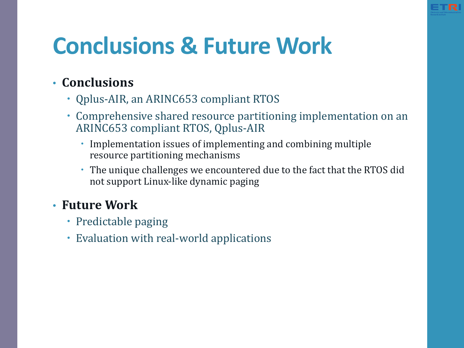# **Conclusions & Future Work**

#### • **Conclusions**

- Qplus-AIR, an ARINC653 compliant RTOS
- Comprehensive shared resource partitioning implementation on an ARINC653 compliant RTOS, Qplus-AIR
	- Implementation issues of implementing and combining multiple resource partitioning mechanisms
	- The unique challenges we encountered due to the fact that the RTOS did not support Linux-like dynamic paging

#### • **Future Work**

- Predictable paging
- Evaluation with real-world applications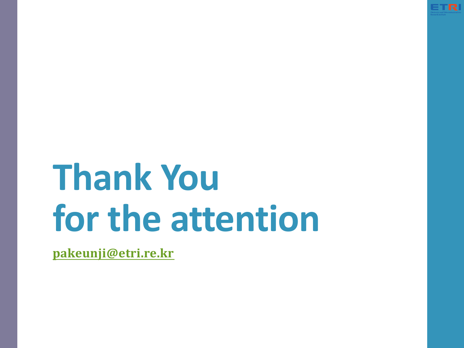

# **Thank You for the attention**

**pakeunji@etri.re.kr**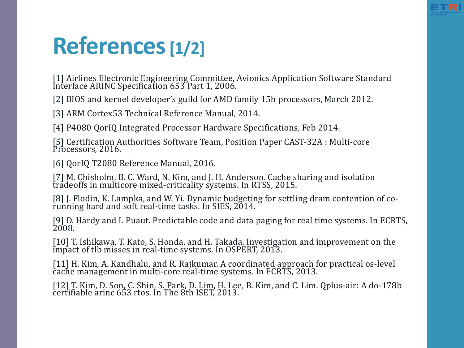

## **References[1/2]**

[1] Airlines Electronic Engineering Committee, Avionics Application Software Standard Interface ARINC Specification 653 Part 1, 2006.

[2] BIOS and kernel developer's guild for AMD family 15h processors, March 2012.

[3] ARM Cortex53 Technical Reference Manual, 2014.

[4] P4080 OorIO Integrated Processor Hardware Specifications, Feb 2014.

[5] Certification Authorities Software Team, Position Paper CAST-32A : Multi-core Processors, 2016.

[6] QorIQ T2080 Reference Manual, 2016.

[7] M. Chisholm, B. C. Ward, N. Kim, and J. H. Anderson. Cache sharing and isolation tradeoffs in multicore mixed-criticality systems. In RTSS, 2015.

[8] J. Flodin, K. Lampka, and W. Yi. Dynamic budgeting for settling dram contention of co-<br>running hard and soft real-time tasks. In SIES, 2014.

[9] D. Hardy and I. Puaut. Predictable code and data paging for real time systems. In ECRTS,<br>2008.

[10] T. Ishikawa, T. Kato, S. Honda, and H. Takada. Investigation and improvement on the impact of tlb misses in real-time systems. In OSPERT, 2013.

[11] H. Kim, A. Kandhalu, and R. Rajkumar. A coordinated approach for practical os-level cache management in multi-core real-time systems. In ECRTS, 2013.

[12] T. Kim, D. Son, C. Shin, S. Park, D. Lim, H. Lee, B. Kim, and C. Lim. Qplus-air: A do-178b certifiable arinc 653 rtos. In The 8th ISET, 2013.